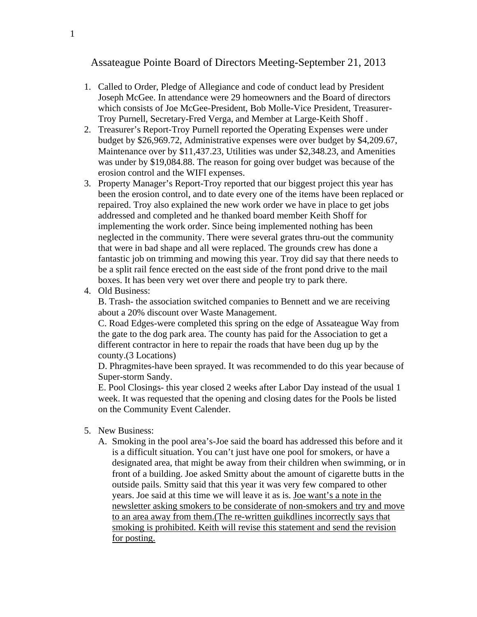## Assateague Pointe Board of Directors Meeting-September 21, 2013

- 1. Called to Order, Pledge of Allegiance and code of conduct lead by President Joseph McGee. In attendance were 29 homeowners and the Board of directors which consists of Joe McGee-President, Bob Molle-Vice President, Treasurer-Troy Purnell, Secretary-Fred Verga, and Member at Large-Keith Shoff .
- 2. Treasurer's Report-Troy Purnell reported the Operating Expenses were under budget by \$26,969.72, Administrative expenses were over budget by \$4,209.67, Maintenance over by \$11,437.23, Utilities was under \$2,348.23, and Amenities was under by \$19,084.88. The reason for going over budget was because of the erosion control and the WIFI expenses.
- 3. Property Manager's Report-Troy reported that our biggest project this year has been the erosion control, and to date every one of the items have been replaced or repaired. Troy also explained the new work order we have in place to get jobs addressed and completed and he thanked board member Keith Shoff for implementing the work order. Since being implemented nothing has been neglected in the community. There were several grates thru-out the community that were in bad shape and all were replaced. The grounds crew has done a fantastic job on trimming and mowing this year. Troy did say that there needs to be a split rail fence erected on the east side of the front pond drive to the mail boxes. It has been very wet over there and people try to park there.
- 4. Old Business:

B. Trash- the association switched companies to Bennett and we are receiving about a 20% discount over Waste Management.

C. Road Edges-were completed this spring on the edge of Assateague Way from the gate to the dog park area. The county has paid for the Association to get a different contractor in here to repair the roads that have been dug up by the county.(3 Locations)

D. Phragmites-have been sprayed. It was recommended to do this year because of Super-storm Sandy.

E. Pool Closings- this year closed 2 weeks after Labor Day instead of the usual 1 week. It was requested that the opening and closing dates for the Pools be listed on the Community Event Calender.

- 5. New Business:
	- A. Smoking in the pool area's-Joe said the board has addressed this before and it is a difficult situation. You can't just have one pool for smokers, or have a designated area, that might be away from their children when swimming, or in front of a building. Joe asked Smitty about the amount of cigarette butts in the outside pails. Smitty said that this year it was very few compared to other years. Joe said at this time we will leave it as is. Joe want's a note in the newsletter asking smokers to be considerate of non-smokers and try and move to an area away from them.(The re-written guikdlines incorrectly says that smoking is prohibited. Keith will revise this statement and send the revision for posting.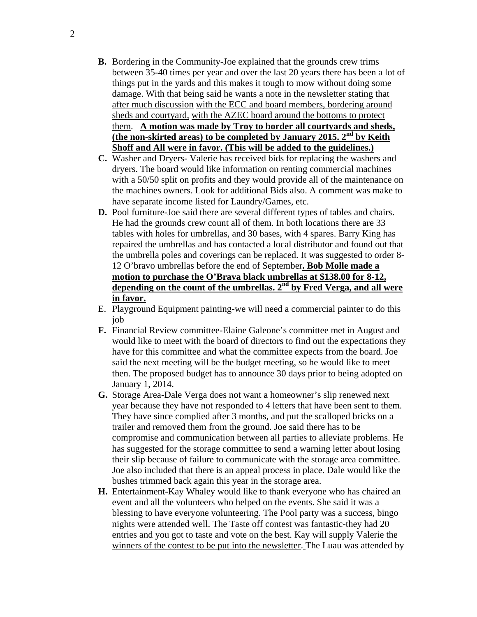- **B.** Bordering in the Community-Joe explained that the grounds crew trims between 35-40 times per year and over the last 20 years there has been a lot of things put in the yards and this makes it tough to mow without doing some damage. With that being said he wants a note in the newsletter stating that after much discussion with the ECC and board members, bordering around sheds and courtyard, with the AZEC board around the bottoms to protect them. **A motion was made by Troy to border all courtyards and sheds, (the non-skirted areas) to be completed by January 2015. 2nd by Keith Shoff and All were in favor. (This will be added to the guidelines.)**
- **C.** Washer and Dryers- Valerie has received bids for replacing the washers and dryers. The board would like information on renting commercial machines with a 50/50 split on profits and they would provide all of the maintenance on the machines owners. Look for additional Bids also. A comment was make to have separate income listed for Laundry/Games, etc.
- **D.** Pool furniture-Joe said there are several different types of tables and chairs. He had the grounds crew count all of them. In both locations there are 33 tables with holes for umbrellas, and 30 bases, with 4 spares. Barry King has repaired the umbrellas and has contacted a local distributor and found out that the umbrella poles and coverings can be replaced. It was suggested to order 8- 12 O'bravo umbrellas before the end of September**. Bob Molle made a motion to purchase the O'Brava black umbrellas at \$138.00 for 8-12, depending on the count of the umbrellas. 2nd by Fred Verga, and all were in favor.**
- E. Playground Equipment painting-we will need a commercial painter to do this job
- **F.** Financial Review committee-Elaine Galeone's committee met in August and would like to meet with the board of directors to find out the expectations they have for this committee and what the committee expects from the board. Joe said the next meeting will be the budget meeting, so he would like to meet then. The proposed budget has to announce 30 days prior to being adopted on January 1, 2014.
- **G.** Storage Area-Dale Verga does not want a homeowner's slip renewed next year because they have not responded to 4 letters that have been sent to them. They have since complied after 3 months, and put the scalloped bricks on a trailer and removed them from the ground. Joe said there has to be compromise and communication between all parties to alleviate problems. He has suggested for the storage committee to send a warning letter about losing their slip because of failure to communicate with the storage area committee. Joe also included that there is an appeal process in place. Dale would like the bushes trimmed back again this year in the storage area.
- **H.** Entertainment-Kay Whaley would like to thank everyone who has chaired an event and all the volunteers who helped on the events. She said it was a blessing to have everyone volunteering. The Pool party was a success, bingo nights were attended well. The Taste off contest was fantastic-they had 20 entries and you got to taste and vote on the best. Kay will supply Valerie the winners of the contest to be put into the newsletter. The Luau was attended by